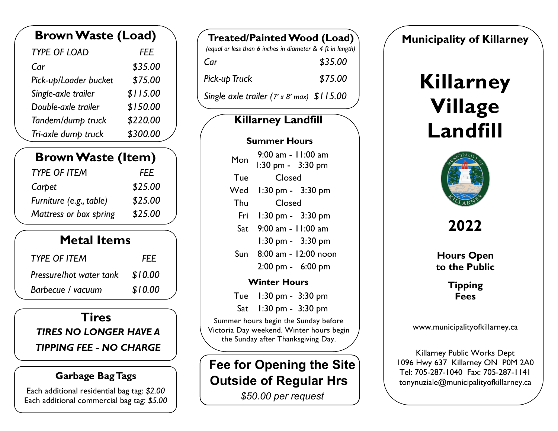| <b>Brown Waste (Load)</b> |            |
|---------------------------|------------|
| <b>TYPE OF LOAD</b>       | <b>FEE</b> |
| Car                       | \$35.00    |
| Pick-up/Loader bucket     | \$75.00    |
| Single-axle trailer       | \$115.00   |
| Double-axle trailer       | \$150.00   |
| Tandem/dump truck         | \$220.00   |
| Tri-axle dump truck       | \$300.00   |

| <b>Brown Waste (Item)</b> |            |
|---------------------------|------------|
| <b>TYPE OF ITEM</b>       | <i>FEE</i> |
| Carpet                    | \$25.00    |
| Furniture (e.g., table)   | \$25.00    |
| Mattress or box spring    | \$25.00    |

### **Metal Items**

| <b>TYPE OF ITEM</b>     | <b>FEE</b> |
|-------------------------|------------|
| Pressure/hot water tank | \$10.00    |
| Barbecue / vacuum       | \$10.00    |

#### **Tires**

 *TIRES NO LONGER HAVE A*

#### *TIPPING FEE - NO CHARGE*

#### **Garbage BagTags**

Each additional residential bag tag: *\$2.00* Each additional commercial bag tag: *\$5.00*

| Treated/Painted Wood (Load)                                |         |
|------------------------------------------------------------|---------|
| (equal or less than 6 inches in diameter & 4 ft in length) |         |
| Car                                                        | \$35.00 |
| Pick-up Truck                                              | \$75.00 |
| Single axle trailer $(7 \times 8 \text{ max})$ \$115.00    |         |

### **Killarney Landfill**

#### **Summer Hours**

| Mon | 9:00 am - 11:00 am<br>1:30 pm - 3:30 pm |  |
|-----|-----------------------------------------|--|
| Tue | Closed                                  |  |
| Wed | 1:30 pm - 3:30 pm                       |  |
| Thu | Closed                                  |  |
| Fri | $1:30 \text{ pm} - 3:30 \text{ pm}$     |  |
| Sat | 9:00 am - 11:00 am                      |  |
|     | 1:30 pm - 3:30 pm                       |  |
| Sun | 8:00 am - 12:00 noon                    |  |
|     | $2:00 \text{ pm} - 6:00 \text{ pm}$     |  |
|     |                                         |  |

#### **Winter Hours**

Tue 1:30 pm - 3:30 pm

Sat 1:30 pm - 3:30 pm

 Summer hours begin the Sunday before Victoria Day weekend. Winter hours begin the Sunday after Thanksgiving Day.

# **Fee for Opening the Site Outside of Regular Hrs**

 *\$50.00 per request*

### **Municipality of Killarney**

# **Killarney Village Landfill**



**2022**

 **to the Public Hours Open**

> **Fees Tipping**

www.municipalityofkillarney.ca

 Killarney Public Works Dept 1096 Hwy 637 Killarney ON P0M 2A0 tonynuziale@municipalityofkillarney.ca Tel: 705-287-1040 Fax: 705-287-1141